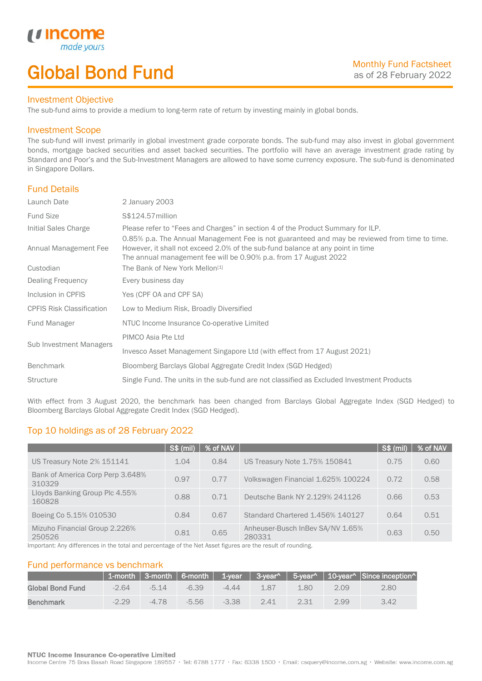# Global Bond Fund

### Investment Objective

made y

*u* incom

I

The sub-fund aims to provide a medium to long-term rate of return by investing mainly in global bonds.

## Investment Scope

The sub-fund will invest primarily in global investment grade corporate bonds. The sub-fund may also invest in global government bonds, mortgage backed securities and asset backed securities. The portfolio will have an average investment grade rating by Standard and Poor's and the Sub-Investment Managers are allowed to have some currency exposure. The sub-fund is denominated in Singapore Dollars.

## Fund Details

| Launch Date                      | 2 January 2003                                                                                                                                                                                                                                      |
|----------------------------------|-----------------------------------------------------------------------------------------------------------------------------------------------------------------------------------------------------------------------------------------------------|
| <b>Fund Size</b>                 | S\$124.57 million                                                                                                                                                                                                                                   |
| Initial Sales Charge             | Please refer to "Fees and Charges" in section 4 of the Product Summary for ILP.                                                                                                                                                                     |
| Annual Management Fee            | 0.85% p.a. The Annual Management Fee is not guaranteed and may be reviewed from time to time.<br>However, it shall not exceed 2.0% of the sub-fund balance at any point in time<br>The annual management fee will be 0.90% p.a. from 17 August 2022 |
| Custodian                        | The Bank of New York Mellon <sup>[1]</sup>                                                                                                                                                                                                          |
| Dealing Frequency                | Every business day                                                                                                                                                                                                                                  |
| Inclusion in CPFIS               | Yes (CPF OA and CPF SA)                                                                                                                                                                                                                             |
| <b>CPFIS Risk Classification</b> | Low to Medium Risk, Broadly Diversified                                                                                                                                                                                                             |
| Fund Manager                     | NTUC Income Insurance Co-operative Limited                                                                                                                                                                                                          |
|                                  | PIMCO Asia Pte Ltd                                                                                                                                                                                                                                  |
| Sub Investment Managers          | Invesco Asset Management Singapore Ltd (with effect from 17 August 2021)                                                                                                                                                                            |
| <b>Benchmark</b>                 | Bloomberg Barclays Global Aggregate Credit Index (SGD Hedged)                                                                                                                                                                                       |
| <b>Structure</b>                 | Single Fund. The units in the sub-fund are not classified as Excluded Investment Products                                                                                                                                                           |
|                                  |                                                                                                                                                                                                                                                     |

With effect from 3 August 2020, the benchmark has been changed from Barclays Global Aggregate Index (SGD Hedged) to Bloomberg Barclays Global Aggregate Credit Index (SGD Hedged).

# Top 10 holdings as of 28 February 2022

|                                            | <b>S\$ (mil)</b> | % of NAV |                                            | <b>S\$ (mil)</b> | % of NAV |
|--------------------------------------------|------------------|----------|--------------------------------------------|------------------|----------|
| US Treasury Note 2% 151141                 | 1.04             | 0.84     | US Treasury Note 1.75% 150841              | 0.75             | 0.60     |
| Bank of America Corp Perp 3.648%<br>310329 | 0.97             | 0.77     | Volkswagen Financial 1.625% 100224         | 0.72             | 0.58     |
| Lloyds Banking Group Plc 4.55%<br>160828   | 0.88             | 0.71     | Deutsche Bank NY 2.129% 241126             | 0.66             | 0.53     |
| Boeing Co 5.15% 010530                     | 0.84             | 0.67     | <b>Standard Chartered 1.456% 140127</b>    | 0.64             | 0.51     |
| Mizuho Financial Group 2.226%<br>250526    | 0.81             | 0.65     | Anheuser-Busch InBev SA/NV 1.65%<br>280331 | 0.63             | 0.50     |

Important: Any differences in the total and percentage of the Net Asset figures are the result of rounding.

## Fund performance vs benchmark

|                  |         |         |         |         |      |      |      | 1-month   3-month   6-month   1-year   3-year^   5-year^   10-year^   Since inception^ |
|------------------|---------|---------|---------|---------|------|------|------|----------------------------------------------------------------------------------------|
| Global Bond Fund | $-2.64$ | $-514$  | $-6.39$ | $-4.44$ | 1.87 | 1.80 | 2.09 | 2.80                                                                                   |
| <b>Benchmark</b> | $-2.29$ | $-4.78$ | $-5.56$ | $-3.38$ | 2.41 | 2.31 | 2.99 | 3.42                                                                                   |